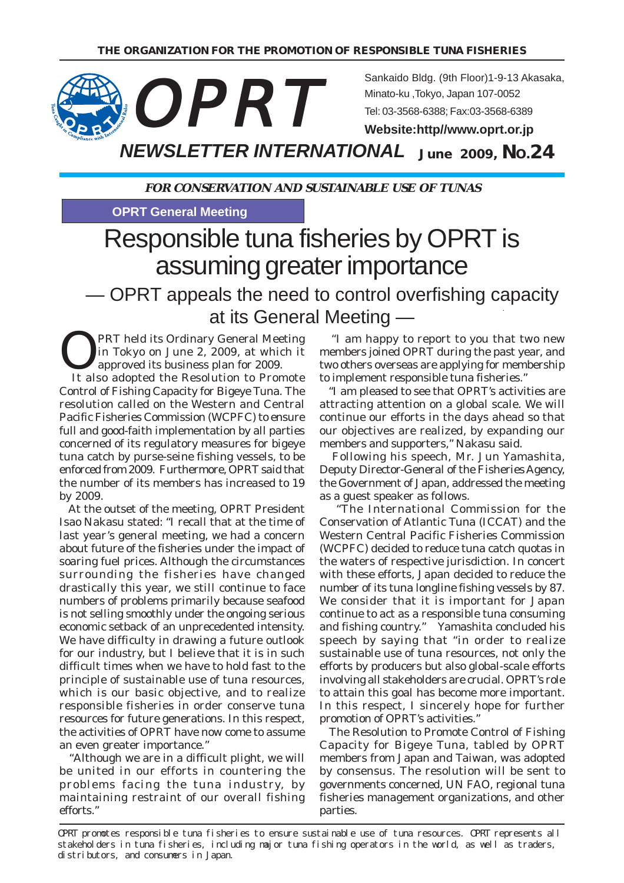

Sankaido Bldg. (9th Floor)1-9-13 Akasaka, Minato-ku ,Tokyo, Japan 107-0052 Tel: 03-3568-6388; Fax:03-3568-6389

**Website:http//www.oprt.or.jp**

*NEWSLETTER INTERNATIONAL* **June 2009, NO.24**

**FOR CONSERVATION AND SUSTAINABLE USE OF TUNAS**

**OPRT General Meeting**

# Responsible tuna fisheries by OPRT is assuming greater importance

 — OPRT appeals the need to control overfishing capacity at its General Meeting —

**OPRT held its Ordinary General Meeting<br>in Tokyo on June 2, 2009, at which it<br>approved its business plan for 2009.** in Tokyo on June 2, 2009, at which it approved its business plan for 2009.

 It also adopted the Resolution to Promote Control of Fishing Capacity for Bigeye Tuna. The resolution called on the Western and Central Pacific Fisheries Commission (WCPFC) to ensure full and good-faith implementation by all parties concerned of its regulatory measures for bigeye tuna catch by purse-seine fishing vessels, to be enforced from 2009. Furthermore, OPRT said that the number of its members has increased to 19 by 2009.

 At the outset of the meeting, OPRT President Isao Nakasu stated: "I recall that at the time of last year's general meeting, we had a concern about future of the fisheries under the impact of soaring fuel prices. Although the circumstances surrounding the fisheries have changed drastically this year, we still continue to face numbers of problems primarily because seafood is not selling smoothly under the ongoing serious economic setback of an unprecedented intensity. We have difficulty in drawing a future outlook for our industry, but I believe that it is in such difficult times when we have to hold fast to the principle of sustainable use of tuna resources, which is our basic objective, and to realize responsible fisheries in order conserve tuna resources for future generations. In this respect, the activities of OPRT have now come to assume an even greater importance."

 "Although we are in a difficult plight, we will be united in our efforts in countering the problems facing the tuna industry, by maintaining restraint of our overall fishing efforts."

 "I am happy to report to you that two new members joined OPRT during the past year, and two others overseas are applying for membership to implement responsible tuna fisheries."

 "I am pleased to see that OPRT's activities are attracting attention on a global scale. We will continue our efforts in the days ahead so that our objectives are realized, by expanding our members and supporters," Nakasu said.

 Following his speech, Mr. Jun Yamashita, Deputy Director-General of the Fisheries Agency, the Government of Japan, addressed the meeting as a guest speaker as follows.

"The International Commission for the Conservation of Atlantic Tuna (ICCAT) and the Western Central Pacific Fisheries Commission (WCPFC) decided to reduce tuna catch quotas in the waters of respective jurisdiction. In concert with these efforts, Japan decided to reduce the number of its tuna longline fishing vessels by 87. We consider that it is important for Japan continue to act as a responsible tuna consuming and fishing country." Yamashita concluded his speech by saying that "in order to realize sustainable use of tuna resources, not only the efforts by producers but also global-scale efforts involving all stakeholders are crucial. OPRT's role to attain this goal has become more important. In this respect, I sincerely hope for further promotion of OPRT's activities."

 The Resolution to Promote Control of Fishing Capacity for Bigeye Tuna, tabled by OPRT members from Japan and Taiwan, was adopted by consensus. The resolution will be sent to governments concerned, UN FAO, regional tuna fisheries management organizations, and other parties.

OPRT promotes responsible tuna fisheries to ensure sustainable use of tuna resources. OPRT represents all stakeholders in tuna fisheries, including major tuna fishing operators in the world, as well as traders, distributors, and consumers in Japan.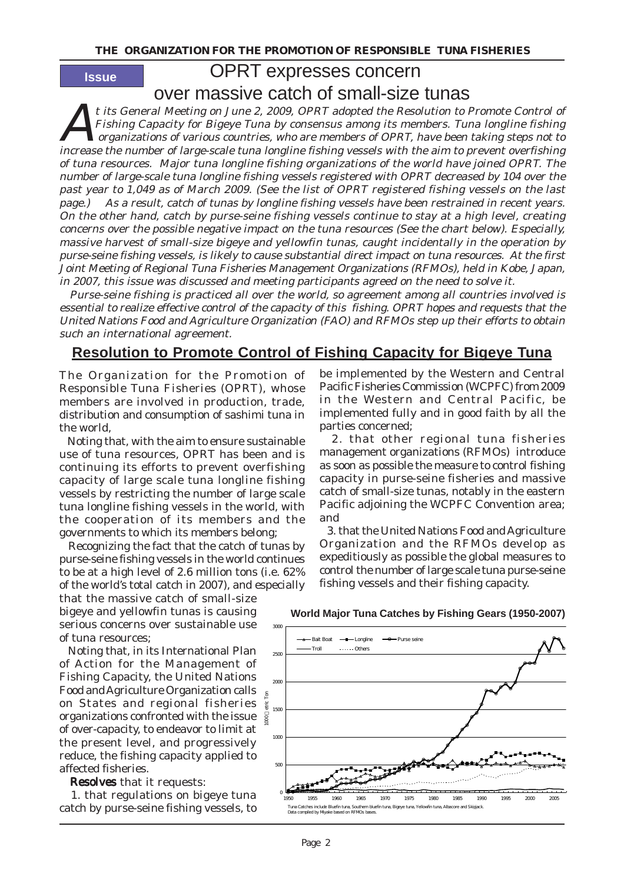**Issue**

# OPRT expresses concern

over massive catch of small-size tunas

At its General Meeting on June 2, 2009, OPRT adopted the Resolution to Promote Control of Fishing Capacity for Bigeye Tuna by consensus among its members. Tuna longline fishing organizations of various countries, who are members of OPRT, have been taking steps not to increase the number of large-scale tuna longline fishing vessels with the aim to prevent overfishing of tuna resources. Major tuna longline fishing organizations of the world have joined OPRT. The number of large-scale tuna longline fishing vessels registered with OPRT decreased by 104 over the past year to 1,049 as of March 2009. (See the list of OPRT registered fishing vessels on the last page.) As a result, catch of tunas by longline fishing vessels have been restrained in recent years. On the other hand, catch by purse-seine fishing vessels continue to stay at a high level, creating concerns over the possible negative impact on the tuna resources (See the chart below). Especially, massive harvest of small-size bigeye and yellowfin tunas, caught incidentally in the operation by purse-seine fishing vessels, is likely to cause substantial direct impact on tuna resources. At the first Joint Meeting of Regional Tuna Fisheries Management Organizations (RFMOs), held in Kobe, Japan, in 2007, this issue was discussed and meeting participants agreed on the need to solve it.

 Purse-seine fishing is practiced all over the world, so agreement among all countries involved is essential to realize effective control of the capacity of this fishing. OPRT hopes and requests that the United Nations Food and Agriculture Organization (FAO) and RFMOs step up their efforts to obtain such an international agreement.

# **Resolution to Promote Control of Fishing Capacity for Bigeye Tuna**

The Organization for the Promotion of Responsible Tuna Fisheries (OPRT), whose members are involved in production, trade, distribution and consumption of sashimi tuna in the world,

 Noting that, with the aim to ensure sustainable use of tuna resources, OPRT has been and is continuing its efforts to prevent overfishing capacity of large scale tuna longline fishing vessels by restricting the number of large scale tuna longline fishing vessels in the world, with the cooperation of its members and the governments to which its members belong;

 Recognizing the fact that the catch of tunas by purse-seine fishing vessels in the world continues to be at a high level of 2.6 million tons (i.e. 62% of the world's total catch in 2007), and especially that the massive catch of small-size

bigeye and yellowfin tunas is causing serious concerns over sustainable use of tuna resources;

 Noting that, in its International Plan of Action for the Management of Fishing Capacity, the United Nations Food and Agriculture Organization calls on States and regional fisheries organizations confronted with the issue of over-capacity, to endeavor to limit at the present level, and progressively reduce, the fishing capacity applied to affected fisheries.

Resolves that it requests:

 1. that regulations on bigeye tuna catch by purse-seine fishing vessels, to

be implemented by the Western and Central Pacific Fisheries Commission (WCPFC) from 2009 in the Western and Central Pacific, be implemented fully and in good faith by all the parties concerned;

 2. that other regional tuna fisheries management organizations (RFMOs) introduce as soon as possible the measure to control fishing capacity in purse-seine fisheries and massive catch of small-size tunas, notably in the eastern Pacific adjoining the WCPFC Convention area; and

 3. that the United Nations Food and Agriculture Organization and the RFMOs develop as expeditiously as possible the global measures to control the number of large scale tuna purse-seine fishing vessels and their fishing capacity.



#### **World Major Tuna Catches by Fishing Gears (1950-2007)**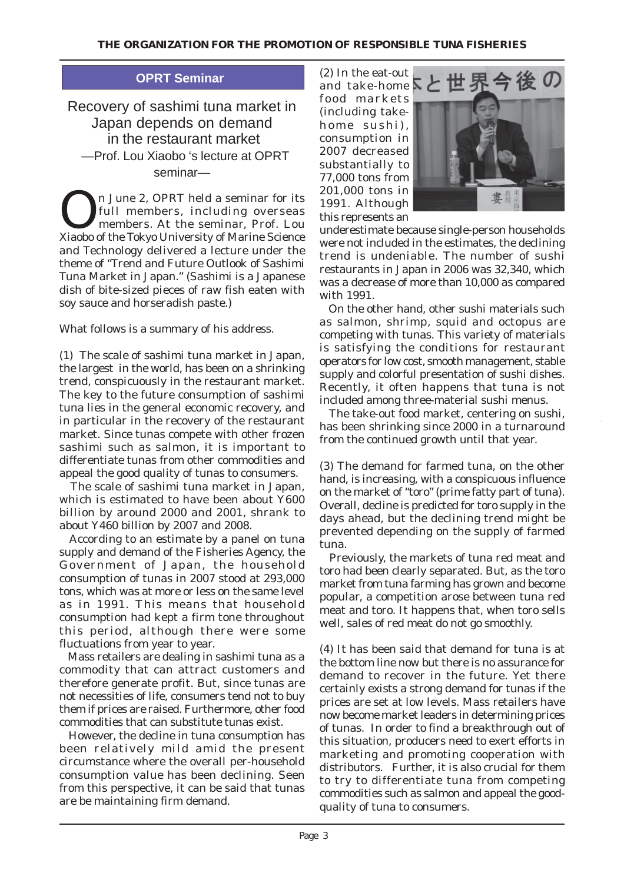## **OPRT Seminar**

Recovery of sashimi tuna market in Japan depends on demand in the restaurant market —Prof. Lou Xiaobo 's lecture at OPRT seminar—

On June 2, OPRT held a seminar for its<br>full members, including overseas<br>members. At the seminar, Prof. Lou full members, including overseas members. At the seminar, Prof. Lou Xiaobo of the Tokyo University of Marine Science and Technology delivered a lecture under the theme of "Trend and Future Outlook of Sashimi Tuna Market in Japan." (Sashimi is a Japanese dish of bite-sized pieces of raw fish eaten with soy sauce and horseradish paste.)

What follows is a summary of his address.

(1) The scale of sashimi tuna market in Japan, the largest in the world, has been on a shrinking trend, conspicuously in the restaurant market. The key to the future consumption of sashimi tuna lies in the general economic recovery, and in particular in the recovery of the restaurant market. Since tunas compete with other frozen sashimi such as salmon, it is important to differentiate tunas from other commodities and appeal the good quality of tunas to consumers.

 The scale of sashimi tuna market in Japan, which is estimated to have been about Y600 billion by around 2000 and 2001, shrank to about Y460 billion by 2007 and 2008.

 According to an estimate by a panel on tuna supply and demand of the Fisheries Agency, the Government of Japan, the household consumption of tunas in 2007 stood at 293,000 tons, which was at more or less on the same level as in 1991. This means that household consumption had kept a firm tone throughout this period, although there were some fluctuations from year to year.

 Mass retailers are dealing in sashimi tuna as a commodity that can attract customers and therefore generate profit. But, since tunas are not necessities of life, consumers tend not to buy them if prices are raised. Furthermore, other food commodities that can substitute tunas exist.

 However, the decline in tuna consumption has been relatively mild amid the present circumstance where the overall per-household consumption value has been declining. Seen from this perspective, it can be said that tunas are be maintaining firm demand.

(2) In the eat-out and take-home  $\overline{\mathbf{S}}$ food markets (including takehome sushi), consumption in 2007 decreased substantially to 77,000 tons from 201,000 tons in 1991. Although this represents an



underestimate because single-person households were not included in the estimates, the declining trend is undeniable. The number of sushi restaurants in Japan in 2006 was 32,340, which was a decrease of more than 10,000 as compared with 1991.

 On the other hand, other sushi materials such as salmon, shrimp, squid and octopus are competing with tunas. This variety of materials is satisfying the conditions for restaurant operators for low cost, smooth management, stable supply and colorful presentation of sushi dishes. Recently, it often happens that tuna is not included among three-material sushi menus.

 The take-out food market, centering on sushi, has been shrinking since 2000 in a turnaround from the continued growth until that year.

(3) The demand for farmed tuna, on the other hand, is increasing, with a conspicuous influence on the market of "toro" (prime fatty part of tuna). Overall, decline is predicted for toro supply in the days ahead, but the declining trend might be prevented depending on the supply of farmed tuna.

 Previously, the markets of tuna red meat and toro had been clearly separated. But, as the toro market from tuna farming has grown and become popular, a competition arose between tuna red meat and toro. It happens that, when toro sells well, sales of red meat do not go smoothly.

(4) It has been said that demand for tuna is at the bottom line now but there is no assurance for demand to recover in the future. Yet there certainly exists a strong demand for tunas if the prices are set at low levels. Mass retailers have now become market leaders in determining prices of tunas. In order to find a breakthrough out of this situation, producers need to exert efforts in marketing and promoting cooperation with distributors. Further, it is also crucial for them to try to differentiate tuna from competing commodities such as salmon and appeal the goodquality of tuna to consumers.